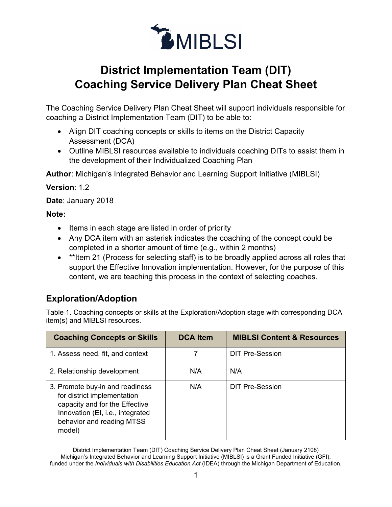

# **District Implementation Team (DIT) Coaching Service Delivery Plan Cheat Sheet**

The Coaching Service Delivery Plan Cheat Sheet will support individuals responsible for coaching a District Implementation Team (DIT) to be able to:

- Align DIT coaching concepts or skills to items on the District Capacity Assessment (DCA)
- Outline MIBLSI resources available to individuals coaching DITs to assist them in the development of their Individualized Coaching Plan

**Author**: Michigan's Integrated Behavior and Learning Support Initiative (MIBLSI)

**Version**: 1.2

**Date**: January 2018

#### **Note:**

- Items in each stage are listed in order of priority
- Any DCA item with an asterisk indicates the coaching of the concept could be completed in a shorter amount of time (e.g., within 2 months)
- \*\*Item 21 (Process for selecting staff) is to be broadly applied across all roles that support the Effective Innovation implementation. However, for the purpose of this content, we are teaching this process in the context of selecting coaches.

## **Exploration/Adoption**

Table 1. Coaching concepts or skills at the Exploration/Adoption stage with corresponding DCA item(s) and MIBLSI resources.

| <b>Coaching Concepts or Skills</b>                                                                                                                                          | <b>DCA Item</b> | <b>MIBLSI Content &amp; Resources</b> |
|-----------------------------------------------------------------------------------------------------------------------------------------------------------------------------|-----------------|---------------------------------------|
| 1. Assess need, fit, and context                                                                                                                                            |                 | <b>DIT Pre-Session</b>                |
| 2. Relationship development                                                                                                                                                 | N/A             | N/A                                   |
| 3. Promote buy-in and readiness<br>for district implementation<br>capacity and for the Effective<br>Innovation (EI, i.e., integrated<br>behavior and reading MTSS<br>model) | N/A             | <b>DIT Pre-Session</b>                |

District Implementation Team (DIT) Coaching Service Delivery Plan Cheat Sheet (January 2108) Michigan's Integrated Behavior and Learning Support Initiative (MIBLSI) is a Grant Funded Initiative (GFI), funded under the *Individuals with Disabilities Education Act* (IDEA) through the Michigan Department of Education.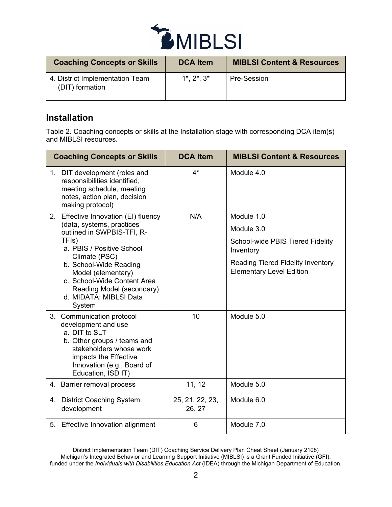

| <b>Coaching Concepts or Skills</b>                 | <b>DCA Item</b>       | <b>MIBLSI Content &amp; Resources</b> |
|----------------------------------------------------|-----------------------|---------------------------------------|
| 4. District Implementation Team<br>(DIT) formation | $1^*$ , $2^*$ , $3^*$ | Pre-Session                           |

### **Installation**

Table 2. Coaching concepts or skills at the Installation stage with corresponding DCA item(s) and MIBLSI resources.

|    | <b>Coaching Concepts or Skills</b>                                                                                                                                                                                                                             | <b>DCA Item</b>           | <b>MIBLSI Content &amp; Resources</b>                                       |
|----|----------------------------------------------------------------------------------------------------------------------------------------------------------------------------------------------------------------------------------------------------------------|---------------------------|-----------------------------------------------------------------------------|
|    | 1. DIT development (roles and<br>responsibilities identified,<br>meeting schedule, meeting<br>notes, action plan, decision<br>making protocol)                                                                                                                 | $4^*$                     | Module 4.0                                                                  |
| 2. | Effective Innovation (EI) fluency                                                                                                                                                                                                                              | N/A                       | Module 1.0                                                                  |
|    | (data, systems, practices<br>outlined in SWPBIS-TFI, R-<br>TFIs)<br>a. PBIS / Positive School<br>Climate (PSC)<br>b. School-Wide Reading<br>Model (elementary)<br>c. School-Wide Content Area<br>Reading Model (secondary)<br>d. MIDATA: MIBLSI Data<br>System |                           | Module 3.0                                                                  |
|    |                                                                                                                                                                                                                                                                |                           | School-wide PBIS Tiered Fidelity<br>Inventory                               |
|    |                                                                                                                                                                                                                                                                |                           | <b>Reading Tiered Fidelity Inventory</b><br><b>Elementary Level Edition</b> |
|    | 3. Communication protocol<br>development and use<br>a. DIT to SLT<br>b. Other groups / teams and<br>stakeholders whose work<br>impacts the Effective<br>Innovation (e.g., Board of<br>Education, ISD IT)                                                       | 10                        | Module 5.0                                                                  |
|    | 4. Barrier removal process                                                                                                                                                                                                                                     | 11, 12                    | Module 5.0                                                                  |
| 4. | <b>District Coaching System</b><br>development                                                                                                                                                                                                                 | 25, 21, 22, 23,<br>26, 27 | Module 6.0                                                                  |
| 5. | Effective Innovation alignment                                                                                                                                                                                                                                 | 6                         | Module 7.0                                                                  |

District Implementation Team (DIT) Coaching Service Delivery Plan Cheat Sheet (January 2108) Michigan's Integrated Behavior and Learning Support Initiative (MIBLSI) is a Grant Funded Initiative (GFI), funded under the *Individuals with Disabilities Education Act* (IDEA) through the Michigan Department of Education.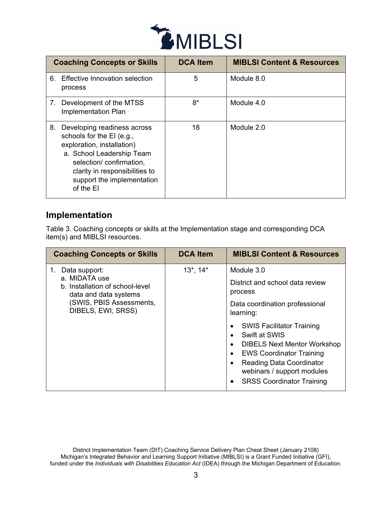

|    | <b>Coaching Concepts or Skills</b>                                                                                                                                                                                          | <b>DCA Item</b> | <b>MIBLSI Content &amp; Resources</b> |
|----|-----------------------------------------------------------------------------------------------------------------------------------------------------------------------------------------------------------------------------|-----------------|---------------------------------------|
| 6. | Effective Innovation selection<br>process                                                                                                                                                                                   | 5               | Module 8.0                            |
|    | 7. Development of the MTSS<br>Implementation Plan                                                                                                                                                                           | $8*$            | Module 4.0                            |
| 8. | Developing readiness across<br>schools for the EI (e.g.,<br>exploration, installation)<br>a. School Leadership Team<br>selection/confirmation,<br>clarity in responsibilities to<br>support the implementation<br>of the El | 18              | Module 2.0                            |

#### **Implementation**

Table 3. Coaching concepts or skills at the Implementation stage and corresponding DCA item(s) and MIBLSI resources.

| <b>Coaching Concepts or Skills</b>                                                                                                           | <b>DCA Item</b> | <b>MIBLSI Content &amp; Resources</b>                                                                                                                                                                                                                                                                                                                                               |
|----------------------------------------------------------------------------------------------------------------------------------------------|-----------------|-------------------------------------------------------------------------------------------------------------------------------------------------------------------------------------------------------------------------------------------------------------------------------------------------------------------------------------------------------------------------------------|
| Data support:<br>a. MIDATA use<br>b. Installation of school-level<br>data and data systems<br>(SWIS, PBIS Assessments,<br>DIBELS, EWI, SRSS) | $13^*$ , $14^*$ | Module 3.0<br>District and school data review<br>process<br>Data coordination professional<br>learning:<br><b>SWIS Facilitator Training</b><br>Swift at SWIS<br>٠<br><b>DIBELS Next Mentor Workshop</b><br>٠<br><b>EWS Coordinator Training</b><br>$\bullet$<br><b>Reading Data Coordinator</b><br>٠<br>webinars / support modules<br><b>SRSS Coordinator Training</b><br>$\bullet$ |

District Implementation Team (DIT) Coaching Service Delivery Plan Cheat Sheet (January 2108) Michigan's Integrated Behavior and Learning Support Initiative (MIBLSI) is a Grant Funded Initiative (GFI), funded under the *Individuals with Disabilities Education Act* (IDEA) through the Michigan Department of Education.